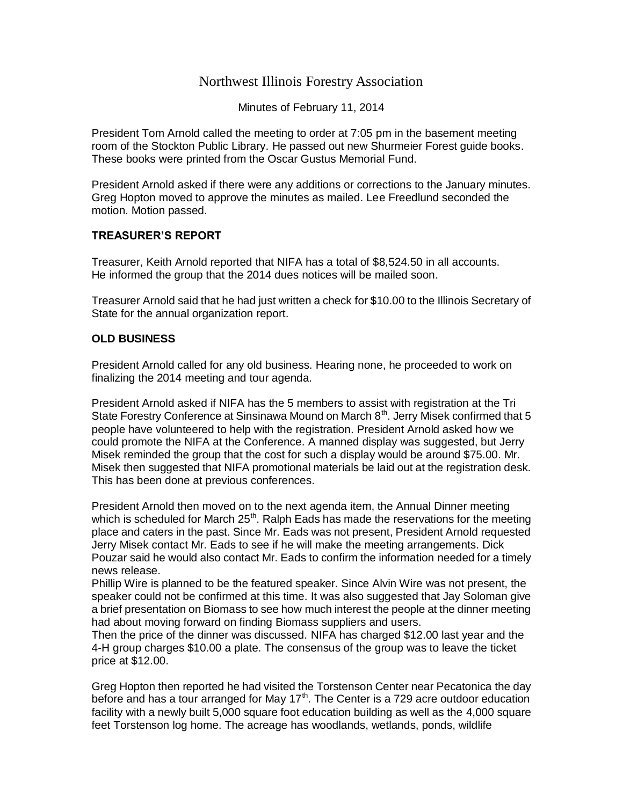## Northwest Illinois Forestry Association

Minutes of February 11, 2014

President Tom Arnold called the meeting to order at 7:05 pm in the basement meeting room of the Stockton Public Library. He passed out new Shurmeier Forest guide books. These books were printed from the Oscar Gustus Memorial Fund.

President Arnold asked if there were any additions or corrections to the January minutes. Greg Hopton moved to approve the minutes as mailed. Lee Freedlund seconded the motion. Motion passed.

## **TREASURER'S REPORT**

Treasurer, Keith Arnold reported that NIFA has a total of \$8,524.50 in all accounts. He informed the group that the 2014 dues notices will be mailed soon.

Treasurer Arnold said that he had just written a check for \$10.00 to the Illinois Secretary of State for the annual organization report.

## **OLD BUSINESS**

President Arnold called for any old business. Hearing none, he proceeded to work on finalizing the 2014 meeting and tour agenda.

President Arnold asked if NIFA has the 5 members to assist with registration at the Tri State Forestry Conference at Sinsinawa Mound on March  $8<sup>th</sup>$ . Jerry Misek confirmed that 5 people have volunteered to help with the registration. President Arnold asked how we could promote the NIFA at the Conference. A manned display was suggested, but Jerry Misek reminded the group that the cost for such a display would be around \$75.00. Mr. Misek then suggested that NIFA promotional materials be laid out at the registration desk. This has been done at previous conferences.

President Arnold then moved on to the next agenda item, the Annual Dinner meeting which is scheduled for March 25<sup>th</sup>. Ralph Eads has made the reservations for the meeting place and caters in the past. Since Mr. Eads was not present, President Arnold requested Jerry Misek contact Mr. Eads to see if he will make the meeting arrangements. Dick Pouzar said he would also contact Mr. Eads to confirm the information needed for a timely news release.

Phillip Wire is planned to be the featured speaker. Since Alvin Wire was not present, the speaker could not be confirmed at this time. It was also suggested that Jay Soloman give a brief presentation on Biomass to see how much interest the people at the dinner meeting had about moving forward on finding Biomass suppliers and users.

Then the price of the dinner was discussed. NIFA has charged \$12.00 last year and the 4-H group charges \$10.00 a plate. The consensus of the group was to leave the ticket price at \$12.00.

Greg Hopton then reported he had visited the Torstenson Center near Pecatonica the day before and has a tour arranged for May  $17<sup>th</sup>$ . The Center is a 729 acre outdoor education facility with a newly built 5,000 square foot education building as well as the 4,000 square feet Torstenson log home. The acreage has woodlands, wetlands, ponds, wildlife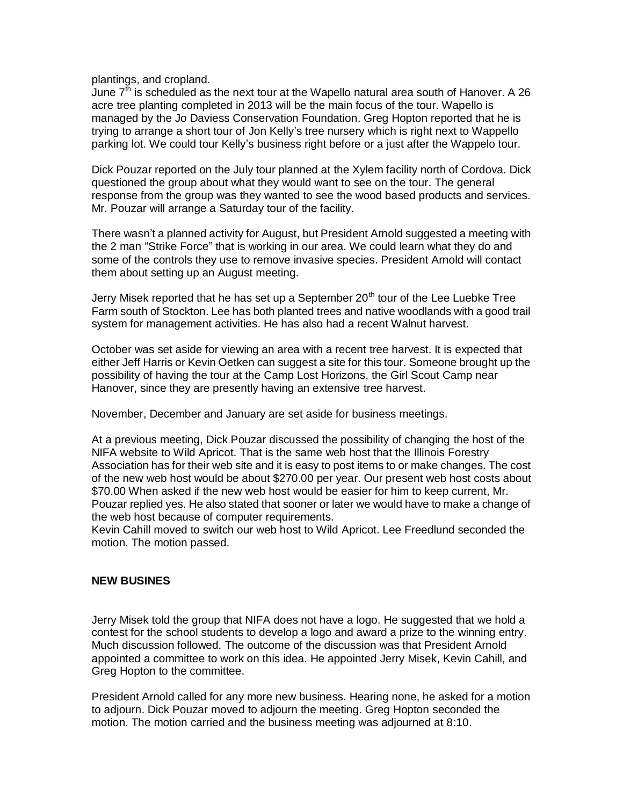plantings, and cropland.

June  $7<sup>th</sup>$  is scheduled as the next tour at the Wapello natural area south of Hanover. A 26 acre tree planting completed in 2013 will be the main focus of the tour. Wapello is managed by the Jo Daviess Conservation Foundation. Greg Hopton reported that he is trying to arrange a short tour of Jon Kelly's tree nursery which is right next to Wappello parking lot. We could tour Kelly's business right before or a just after the Wappelo tour.

Dick Pouzar reported on the July tour planned at the Xylem facility north of Cordova. Dick questioned the group about what they would want to see on the tour. The general response from the group was they wanted to see the wood based products and services. Mr. Pouzar will arrange a Saturday tour of the facility.

There wasn't a planned activity for August, but President Arnold suggested a meeting with the 2 man "Strike Force" that is working in our area. We could learn what they do and some of the controls they use to remove invasive species. President Arnold will contact them about setting up an August meeting.

Jerry Misek reported that he has set up a September  $20<sup>th</sup>$  tour of the Lee Luebke Tree Farm south of Stockton. Lee has both planted trees and native woodlands with a good trail system for management activities. He has also had a recent Walnut harvest.

October was set aside for viewing an area with a recent tree harvest. It is expected that either Jeff Harris or Kevin Oetken can suggest a site for this tour. Someone brought up the possibility of having the tour at the Camp Lost Horizons, the Girl Scout Camp near Hanover, since they are presently having an extensive tree harvest.

November, December and January are set aside for business meetings.

At a previous meeting, Dick Pouzar discussed the possibility of changing the host of the NIFA website to Wild Apricot. That is the same web host that the Illinois Forestry Association has for their web site and it is easy to post items to or make changes. The cost of the new web host would be about \$270.00 per year. Our present web host costs about \$70.00 When asked if the new web host would be easier for him to keep current, Mr. Pouzar replied yes. He also stated that sooner or later we would have to make a change of the web host because of computer requirements.

Kevin Cahill moved to switch our web host to Wild Apricot. Lee Freedlund seconded the motion. The motion passed.

## **NEW BUSINES**

Jerry Misek told the group that NIFA does not have a logo. He suggested that we hold a contest for the school students to develop a logo and award a prize to the winning entry. Much discussion followed. The outcome of the discussion was that President Arnold appointed a committee to work on this idea. He appointed Jerry Misek, Kevin Cahill, and Greg Hopton to the committee.

President Arnold called for any more new business. Hearing none, he asked for a motion to adjourn. Dick Pouzar moved to adjourn the meeting. Greg Hopton seconded the motion. The motion carried and the business meeting was adjourned at 8:10.